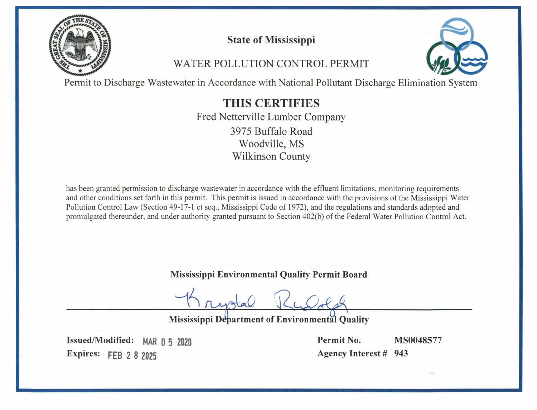

**State of Mississippi** 

# WATER POLLUTION CONTROL PERMIT



Permit to Discharge Wastewater in Accordance with National Pollutant Discharge Elimination System

# **THIS CERTIFIES**

Fred Netterville Lumber Company 3975 Buffalo Road Woodville, MS **Wilkinson County** 

has been granted permission to discharge wastewater in accordance with the effluent limitations, monitoring requirements and other conditions set forth in this permit. This permit is issued in accordance with the provisions of the Mississippi Water Pollution Control Law (Section 49-17-1 et seq., Mississippi Code of 1972), and the regulations and standards adopted and promulgated thereunder, and under authority granted pursuant to Section 402(b) of the Federal Water Pollution Control Act.

**Mississippi Environmental Quality Permit Board** 

Mississippi Department of Environmental Quality

Issued/Modified: MAR 0 5 2020 Expires: FEB 2 8 2025

Permit No. Agency Interest # 943

MS0048577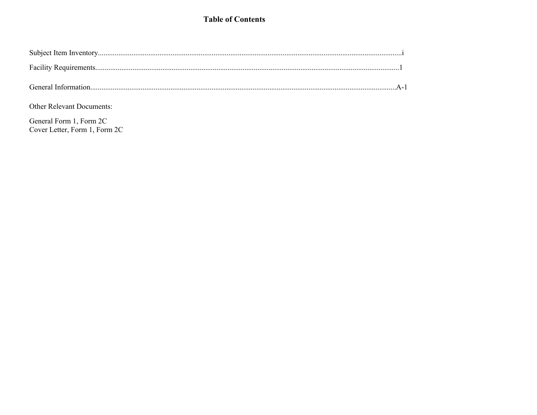# **Table of Contents**

Other Relevant Documents:

General Form 1, Form 2C Cover Letter, Form 1, Form 2C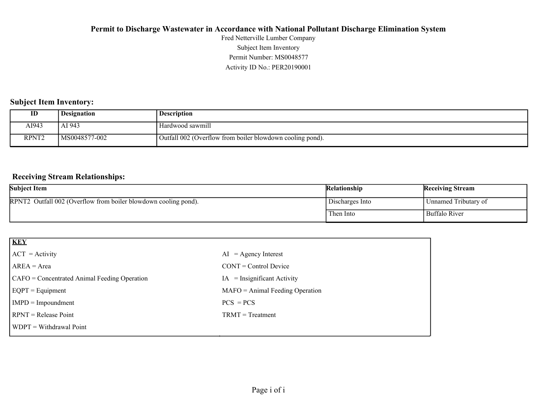Activity ID No.: PER20190001 Permit Number: MS0048577 Subject Item Inventory Fred Netterville Lumber Company

#### **Subject Item Inventory:**

| ID                | <b>Designation</b> | Description                                               |
|-------------------|--------------------|-----------------------------------------------------------|
| AI943             | AI 943             | Hardwood sawmill                                          |
| RPNT <sub>2</sub> | MS0048577-002      | Outfall 002 (Overflow from boiler blowdown cooling pond). |

#### **Receiving Stream Relationships:**

| <b>Subject Item</b>                                             | Relationship    | <b>Receiving Stream</b> |
|-----------------------------------------------------------------|-----------------|-------------------------|
| RPNT2 Outfall 002 (Overflow from boiler blowdown cooling pond). | Discharges Into | Unnamed Tributary of    |
|                                                                 | Then Into       | Buffalo River           |

| <b>KEY</b>                                   |                                   |
|----------------------------------------------|-----------------------------------|
| $ ACT = Activity$                            | $AI = Agency Interest$            |
| $AREA = Area$                                | $CONT = Control$ Device           |
| CAFO = Concentrated Animal Feeding Operation | $=$ Insignificant Activity<br>IA  |
| $EQPT = Equipment$                           | $MAFO = Animal Feeding Operation$ |
| $IMPD = Important$                           | $PCS = PCs$                       |
| $RPNT = Release Point$                       | $TRMT = Treatment$                |
| $\vert$ WDPT = Withdrawal Point              |                                   |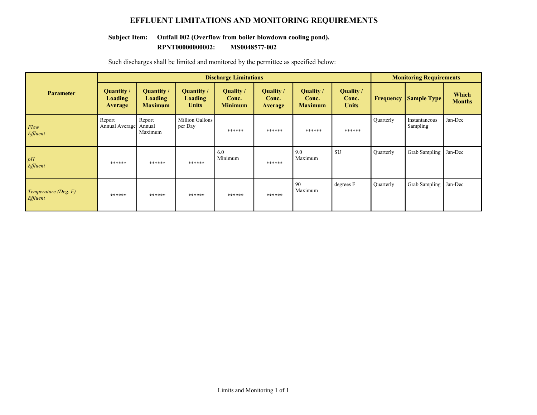### **EFFLUENT LIMITATIONS AND MONITORING REQUIREMENTS**

# **Subject Item: Outfall 002 (Overflow from boiler blowdown cooling pond).**

#### **RPNT00000000002: MS0048577-002**

|                                         | <b>Discharge Limitations</b>            |                                         |                                              |                                             |                                             |                                      | <b>Monitoring Requirements</b>     |           |                           |                        |
|-----------------------------------------|-----------------------------------------|-----------------------------------------|----------------------------------------------|---------------------------------------------|---------------------------------------------|--------------------------------------|------------------------------------|-----------|---------------------------|------------------------|
| <b>Parameter</b>                        | Quantity /<br><b>Loading</b><br>Average | Quantity /<br>Loading<br><b>Maximum</b> | <b>Quantity</b> /<br>Loading<br><b>Units</b> | <b>Quality</b> /<br>Conc.<br><b>Minimum</b> | <b>Quality</b> /<br>Conc.<br><b>Average</b> | Quality /<br>Conc.<br><b>Maximum</b> | Quality /<br>Conc.<br><b>Units</b> | Frequency | <b>Sample Type</b>        | Which<br><b>Months</b> |
| Flow<br><b>Effluent</b>                 | Report<br>Annual Average                | Report<br>Annual<br>Maximum             | Million Gallons<br>per Day                   | ******                                      | ******                                      | ******                               | ******                             | Quarterly | Instantaneous<br>Sampling | Jan-Dec                |
| pH<br>Effluent                          | ******                                  | ******                                  | ******                                       | 6.0<br>Minimum                              | ******                                      | 9.0<br>Maximum                       | <b>SU</b>                          | Quarterly | <b>Grab Sampling</b>      | Jan-Dec                |
| Temperature (Deg. F)<br><i>Effluent</i> | ******                                  | ******                                  | ******                                       | ******                                      | ******                                      | -90<br>Maximum                       | degrees F                          | Quarterly | <b>Grab Sampling</b>      | Jan-Dec                |

Such discharges shall be limited and monitored by the permittee as specified below: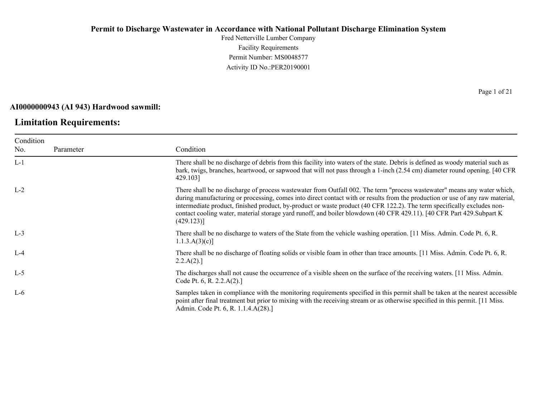Fred Netterville Lumber Company Facility Requirements Permit Number: MS0048577 Activity ID No.:PER20190001

#### **AI0000000943 (AI 943) Hardwood sawmill:**

# **Limitation Requirements:**

| Condition |           |                                                                                                                                                                                                                                                                                                                                                                                                                                                                                                                                |
|-----------|-----------|--------------------------------------------------------------------------------------------------------------------------------------------------------------------------------------------------------------------------------------------------------------------------------------------------------------------------------------------------------------------------------------------------------------------------------------------------------------------------------------------------------------------------------|
| No.       | Parameter | Condition                                                                                                                                                                                                                                                                                                                                                                                                                                                                                                                      |
| $L-1$     |           | There shall be no discharge of debris from this facility into waters of the state. Debris is defined as woody material such as<br>bark, twigs, branches, heartwood, or sapwood that will not pass through a 1-inch (2.54 cm) diameter round opening. [40 CFR<br>429.1031                                                                                                                                                                                                                                                       |
| $L-2$     |           | There shall be no discharge of process wastewater from Outfall 002. The term "process wastewater" means any water which,<br>during manufacturing or processing, comes into direct contact with or results from the production or use of any raw material,<br>intermediate product, finished product, by-product or waste product (40 CFR 122.2). The term specifically excludes non-<br>contact cooling water, material storage yard runoff, and boiler blowdown (40 CFR 429.11). [40 CFR Part 429. Subpart K<br>$(429.123)$ ] |
| $L-3$     |           | There shall be no discharge to waters of the State from the vehicle washing operation. [11 Miss. Admin. Code Pt. 6, R.<br>$1.1.3.A(3)(c)$ ]                                                                                                                                                                                                                                                                                                                                                                                    |
| $L-4$     |           | There shall be no discharge of floating solids or visible foam in other than trace amounts. [11 Miss. Admin. Code Pt. 6, R.<br>2.2.A(2).                                                                                                                                                                                                                                                                                                                                                                                       |
| $L-5$     |           | The discharges shall not cause the occurrence of a visible sheen on the surface of the receiving waters. [11 Miss. Admin.<br>Code Pt. 6, R. 2.2.A(2).]                                                                                                                                                                                                                                                                                                                                                                         |
| $L-6$     |           | Samples taken in compliance with the monitoring requirements specified in this permit shall be taken at the nearest accessible<br>point after final treatment but prior to mixing with the receiving stream or as otherwise specified in this permit. [11 Miss.<br>Admin. Code Pt. 6, R. 1.1.4.A(28).]                                                                                                                                                                                                                         |

Page 1 of 21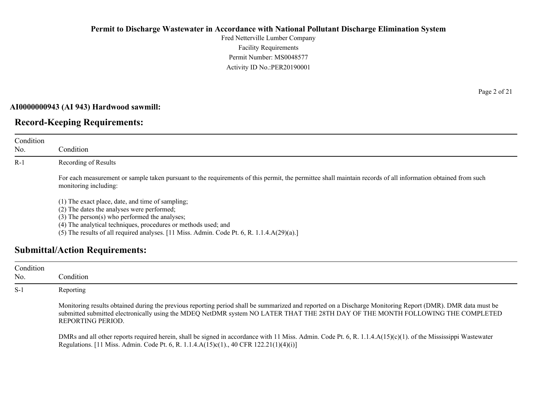Fred Netterville Lumber Company Facility Requirements Permit Number: MS0048577 Activity ID No.:PER20190001

#### **AI0000000943 (AI 943) Hardwood sawmill:**

# **Record-Keeping Requirements:**

| Condition<br>No. | Condition                                                                                                                                                                                                                                                                                                            |
|------------------|----------------------------------------------------------------------------------------------------------------------------------------------------------------------------------------------------------------------------------------------------------------------------------------------------------------------|
| $R-1$            | Recording of Results                                                                                                                                                                                                                                                                                                 |
|                  | For each measurement or sample taken pursuant to the requirements of this permit, the permittee shall maintain records of all information obtained from such<br>monitoring including:                                                                                                                                |
|                  | (1) The exact place, date, and time of sampling;<br>(2) The dates the analyses were performed;<br>$(3)$ The person $(s)$ who performed the analyses;<br>(4) The analytical techniques, procedures or methods used; and<br>(5) The results of all required analyses. [11 Miss. Admin. Code Pt. 6, R. 1.1.4.A(29)(a).] |

# **Submittal/Action Requirements:**

| Condition<br>No. | Condition                                                                                                                                                                                                                                                                                                          |
|------------------|--------------------------------------------------------------------------------------------------------------------------------------------------------------------------------------------------------------------------------------------------------------------------------------------------------------------|
| $S-1$            | Reporting                                                                                                                                                                                                                                                                                                          |
|                  | Monitoring results obtained during the previous reporting period shall be summarized and reported on a Discharge Monitoring Report (DMR). DMR data must be<br>submitted submitted electronically using the MDEQ NetDMR system NO LATER THAT THE 28TH DAY OF THE MONTH FOLLOWING THE COMPLETED<br>REPORTING PERIOD. |
|                  | DMRs and all other reports required herein, shall be signed in accordance with 11 Miss. Admin. Code Pt. 6, R. 1.1.4. $A(15)(c)(1)$ . of the Mississippi Wastewater<br>Regulations. [11 Miss. Admin. Code Pt. 6, R. 1.1.4.A(15)c(1)., 40 CFR 122.21(1)(4)(i)]                                                       |

Page 2 of 21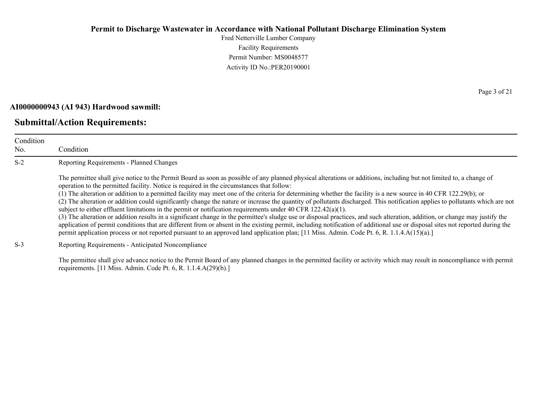Fred Netterville Lumber Company Facility Requirements Permit Number: MS0048577 Activity ID No.:PER20190001

#### **AI0000000943 (AI 943) Hardwood sawmill:**

# **Submittal/Action Requirements:**

| Condition<br>No. | Condition                                                                                                                                                                                                                                                                                                                                                                                                                                                                                                                                                                                                                                                                                                                                                                                                                                                                                                                                                                                                                                                                                                                                                                                                                                               |
|------------------|---------------------------------------------------------------------------------------------------------------------------------------------------------------------------------------------------------------------------------------------------------------------------------------------------------------------------------------------------------------------------------------------------------------------------------------------------------------------------------------------------------------------------------------------------------------------------------------------------------------------------------------------------------------------------------------------------------------------------------------------------------------------------------------------------------------------------------------------------------------------------------------------------------------------------------------------------------------------------------------------------------------------------------------------------------------------------------------------------------------------------------------------------------------------------------------------------------------------------------------------------------|
| $S-2$            | Reporting Requirements - Planned Changes                                                                                                                                                                                                                                                                                                                                                                                                                                                                                                                                                                                                                                                                                                                                                                                                                                                                                                                                                                                                                                                                                                                                                                                                                |
|                  | The permittee shall give notice to the Permit Board as soon as possible of any planned physical alterations or additions, including but not limited to, a change of<br>operation to the permitted facility. Notice is required in the circumstances that follow:<br>(1) The alteration or addition to a permitted facility may meet one of the criteria for determining whether the facility is a new source in 40 CFR 122.29(b); or<br>(2) The alteration or addition could significantly change the nature or increase the quantity of pollutants discharged. This notification applies to pollutants which are not<br>subject to either effluent limitations in the permit or notification requirements under 40 CFR $122.42(a)(1)$ .<br>(3) The alteration or addition results in a significant change in the permittee's sludge use or disposal practices, and such alteration, addition, or change may justify the<br>application of permit conditions that are different from or absent in the existing permit, including notification of additional use or disposal sites not reported during the<br>permit application process or not reported pursuant to an approved land application plan; [11 Miss. Admin. Code Pt. 6, R. 1.1.4.A(15)(a).] |
| $S-3$            | Reporting Requirements - Anticipated Noncompliance                                                                                                                                                                                                                                                                                                                                                                                                                                                                                                                                                                                                                                                                                                                                                                                                                                                                                                                                                                                                                                                                                                                                                                                                      |

The permittee shall give advance notice to the Permit Board of any planned changes in the permitted facility or activity which may result in noncompliance with permit requirements. [11 Miss. Admin. Code Pt. 6, R. 1.1.4.A(29)(b).]

Page 3 of 21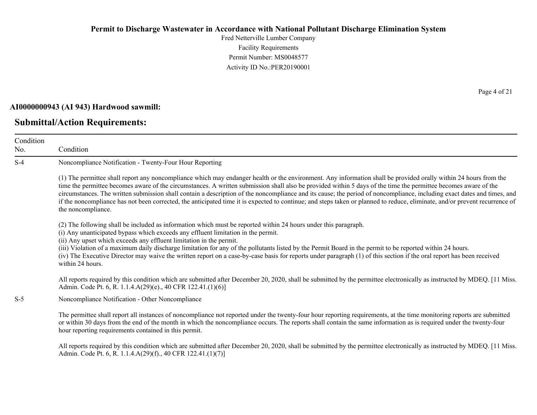Fred Netterville Lumber Company Facility Requirements Permit Number: MS0048577 Activity ID No.:PER20190001

#### **AI0000000943 (AI 943) Hardwood sawmill:**

#### **Submittal/Action Requirements:**

Condition No. Condition S-4 Noncompliance Notification - Twenty-Four Hour Reporting (1) The permittee shall report any noncompliance which may endanger health or the environment. Any information shall be provided orally within 24 hours from the time the permittee becomes aware of the circumstances. A written submission shall also be provided within 5 days of the time the permittee becomes aware of the circumstances. The written submission shall contain a description of the noncompliance and its cause; the period of noncompliance, including exact dates and times, and if the noncompliance has not been corrected, the anticipated time it is expected to continue; and steps taken or planned to reduce, eliminate, and/or prevent recurrence of the noncompliance. (2) The following shall be included as information which must be reported within 24 hours under this paragraph. (i) Any unanticipated bypass which exceeds any effluent limitation in the permit. (ii) Any upset which exceeds any effluent limitation in the permit. (iii) Violation of a maximum daily discharge limitation for any of the pollutants listed by the Permit Board in the permit to be reported within 24 hours. (iv) The Executive Director may waive the written report on a case-by-case basis for reports under paragraph (1) of this section if the oral report has been received within 24 hours. All reports required by this condition which are submitted after December 20, 2020, shall be submitted by the permittee electronically as instructed by MDEQ. [11 Miss. Admin. Code Pt. 6, R. 1.1.4.A(29)(e)., 40 CFR 122.41.(1)(6)] S-5 Noncompliance Notification - Other Noncompliance The permittee shall report all instances of noncompliance not reported under the twenty-four hour reporting requirements, at the time monitoring reports are submitted or within 30 days from the end of the month in which the noncompliance occurs. The reports shall contain the same information as is required under the twenty-four hour reporting requirements contained in this permit.

All reports required by this condition which are submitted after December 20, 2020, shall be submitted by the permittee electronically as instructed by MDEQ. [11 Miss.] Admin. Code Pt. 6, R. 1.1.4.A(29)(f)., 40 CFR 122.41.(1)(7)]

Page 4 of 21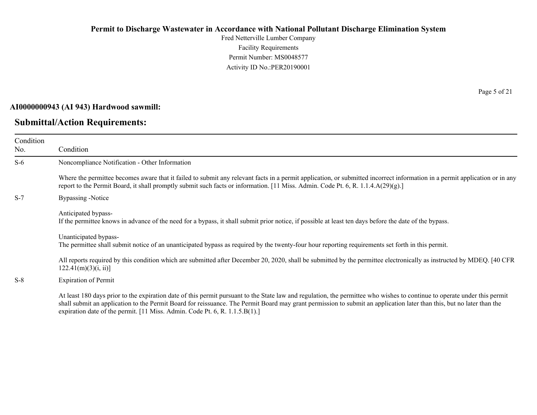Fred Netterville Lumber Company Facility Requirements Permit Number: MS0048577 Activity ID No.:PER20190001

#### **AI0000000943 (AI 943) Hardwood sawmill:**

# **Submittal/Action Requirements:**

Page 5 of 21

| Condition<br>No. | Condition                                                                                                                                                                                                                                                                                                                                                                                                                         |
|------------------|-----------------------------------------------------------------------------------------------------------------------------------------------------------------------------------------------------------------------------------------------------------------------------------------------------------------------------------------------------------------------------------------------------------------------------------|
| $S-6$            | Noncompliance Notification - Other Information                                                                                                                                                                                                                                                                                                                                                                                    |
|                  | Where the permittee becomes aware that it failed to submit any relevant facts in a permit application, or submitted incorrect information in a permit application or in any<br>report to the Permit Board, it shall promptly submit such facts or information. [11 Miss. Admin. Code Pt. 6, R. 1.1.4. $A(29)(g)$ .]                                                                                                               |
| $S-7$            | Bypassing -Notice                                                                                                                                                                                                                                                                                                                                                                                                                 |
|                  | Anticipated bypass-<br>If the permittee knows in advance of the need for a bypass, it shall submit prior notice, if possible at least ten days before the date of the bypass.                                                                                                                                                                                                                                                     |
|                  | Unanticipated bypass-<br>The permittee shall submit notice of an unanticipated bypass as required by the twenty-four hour reporting requirements set forth in this permit.                                                                                                                                                                                                                                                        |
|                  | All reports required by this condition which are submitted after December 20, 2020, shall be submitted by the permittee electronically as instructed by MDEQ. [40 CFR<br>122.41(m)(3)(i, ii)                                                                                                                                                                                                                                      |
| $S-8$            | <b>Expiration of Permit</b>                                                                                                                                                                                                                                                                                                                                                                                                       |
|                  | At least 180 days prior to the expiration date of this permit pursuant to the State law and regulation, the permittee who wishes to continue to operate under this permit<br>shall submit an application to the Permit Board for reissuance. The Permit Board may grant permission to submit an application later than this, but no later than the<br>expiration date of the permit. [11 Miss. Admin. Code Pt. 6, R. 1.1.5.B(1).] |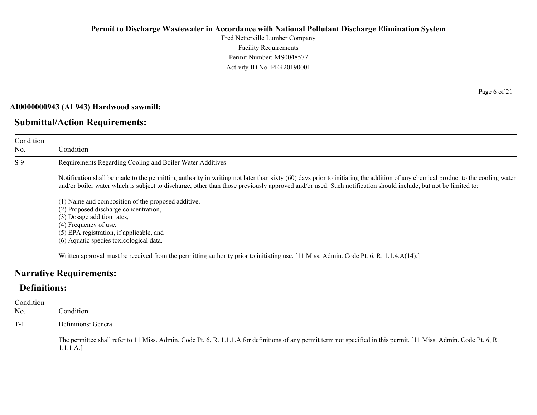Fred Netterville Lumber Company Facility Requirements Permit Number: MS0048577 Activity ID No.:PER20190001

#### **AI0000000943 (AI 943) Hardwood sawmill:**

# **Submittal/Action Requirements:**

Condition No. Condition S-9 Requirements Regarding Cooling and Boiler Water Additives Notification shall be made to the permitting authority in writing not later than sixty (60) days prior to initiating the addition of any chemical product to the cooling water and/or boiler water which is subject to discharge, other than those previously approved and/or used. Such notification should include, but not be limited to: (1) Name and composition of the proposed additive, (2) Proposed discharge concentration,

(3) Dosage addition rates,

(4) Frequency of use,

(5) EPA registration, if applicable, and

(6) Aquatic species toxicological data.

Written approval must be received from the permitting authority prior to initiating use. [11 Miss. Admin. Code Pt. 6, R. 1.1.4.A(14).]

# **Narrative Requirements:**

# **Definitions:**

| Condition<br>No. | Condition                                                                                                                                                                         |
|------------------|-----------------------------------------------------------------------------------------------------------------------------------------------------------------------------------|
| $T-1$            | Definitions: General                                                                                                                                                              |
|                  | The permittee shall refer to 11 Miss. Admin. Code Pt. 6, R. 1.1.1.A for definitions of any permit term not specified in this permit. [11 Miss. Admin. Code Pt. 6, R.<br>1.1.1.A.] |

Page 6 of 21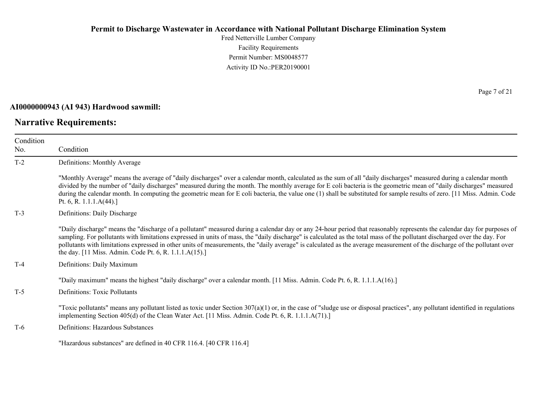Fred Netterville Lumber Company Facility Requirements Permit Number: MS0048577 Activity ID No.:PER20190001

#### **AI0000000943 (AI 943) Hardwood sawmill:**

# **Narrative Requirements:**

Page 7 of 21

| Condition<br>No. | Condition                                                                                                                                                                                                                                                                                                                                                                                                                                                                                                                                                                                   |
|------------------|---------------------------------------------------------------------------------------------------------------------------------------------------------------------------------------------------------------------------------------------------------------------------------------------------------------------------------------------------------------------------------------------------------------------------------------------------------------------------------------------------------------------------------------------------------------------------------------------|
| $T-2$            | Definitions: Monthly Average                                                                                                                                                                                                                                                                                                                                                                                                                                                                                                                                                                |
|                  | "Monthly Average" means the average of "daily discharges" over a calendar month, calculated as the sum of all "daily discharges" measured during a calendar month<br>divided by the number of "daily discharges" measured during the month. The monthly average for E coli bacteria is the geometric mean of "daily discharges" measured<br>during the calendar month. In computing the geometric mean for E coli bacteria, the value one (1) shall be substituted for sample results of zero. [11 Miss. Admin. Code<br>Pt. 6, R. 1.1.1. $A(44)$ .]                                         |
| $T-3$            | Definitions: Daily Discharge                                                                                                                                                                                                                                                                                                                                                                                                                                                                                                                                                                |
|                  | "Daily discharge" means the "discharge of a pollutant" measured during a calendar day or any 24-hour period that reasonably represents the calendar day for purposes of<br>sampling. For pollutants with limitations expressed in units of mass, the "daily discharge" is calculated as the total mass of the pollutant discharged over the day. For<br>pollutants with limitations expressed in other units of measurements, the "daily average" is calculated as the average measurement of the discharge of the pollutant over<br>the day. [11 Miss. Admin. Code Pt. 6, R. 1.1.1.A(15).] |
| $T-4$            | Definitions: Daily Maximum                                                                                                                                                                                                                                                                                                                                                                                                                                                                                                                                                                  |
|                  | "Daily maximum" means the highest "daily discharge" over a calendar month. [11 Miss. Admin. Code Pt. 6, R. 1.1.1.A(16).]                                                                                                                                                                                                                                                                                                                                                                                                                                                                    |
| $T-5$            | Definitions: Toxic Pollutants                                                                                                                                                                                                                                                                                                                                                                                                                                                                                                                                                               |
|                  | "Toxic pollutants" means any pollutant listed as toxic under Section $307(a)(1)$ or, in the case of "sludge use or disposal practices", any pollutant identified in regulations<br>implementing Section 405(d) of the Clean Water Act. [11 Miss. Admin. Code Pt. 6, R. 1.1.1.A(71).]                                                                                                                                                                                                                                                                                                        |
| $T-6$            | Definitions: Hazardous Substances                                                                                                                                                                                                                                                                                                                                                                                                                                                                                                                                                           |
|                  | "Hazardous substances" are defined in 40 CFR 116.4. [40 CFR 116.4]                                                                                                                                                                                                                                                                                                                                                                                                                                                                                                                          |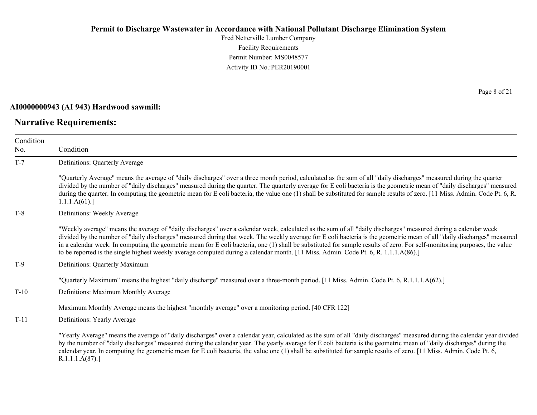Fred Netterville Lumber Company Facility Requirements Permit Number: MS0048577 Activity ID No.:PER20190001

#### **AI0000000943 (AI 943) Hardwood sawmill:**

# **Narrative Requirements:**

Page 8 of 21

| Condition |                                                                                                                                                                                                                                                                                                                                                                                                                                                                                                                                                                                                                                                              |  |  |
|-----------|--------------------------------------------------------------------------------------------------------------------------------------------------------------------------------------------------------------------------------------------------------------------------------------------------------------------------------------------------------------------------------------------------------------------------------------------------------------------------------------------------------------------------------------------------------------------------------------------------------------------------------------------------------------|--|--|
| No.       | Condition                                                                                                                                                                                                                                                                                                                                                                                                                                                                                                                                                                                                                                                    |  |  |
| $T-7$     | Definitions: Quarterly Average                                                                                                                                                                                                                                                                                                                                                                                                                                                                                                                                                                                                                               |  |  |
|           | "Quarterly Average" means the average of "daily discharges" over a three month period, calculated as the sum of all "daily discharges" measured during the quarter<br>divided by the number of "daily discharges" measured during the quarter. The quarterly average for E coli bacteria is the geometric mean of "daily discharges" measured<br>during the quarter. In computing the geometric mean for E coli bacteria, the value one (1) shall be substituted for sample results of zero. [11 Miss. Admin. Code Pt. 6, R.<br>1.1.1.A(61).                                                                                                                 |  |  |
| $T-8$     | Definitions: Weekly Average                                                                                                                                                                                                                                                                                                                                                                                                                                                                                                                                                                                                                                  |  |  |
|           | "Weekly average" means the average of "daily discharges" over a calendar week, calculated as the sum of all "daily discharges" measured during a calendar week<br>divided by the number of "daily discharges" measured during that week. The weekly average for E coli bacteria is the geometric mean of all "daily discharges" measured<br>in a calendar week. In computing the geometric mean for E coli bacteria, one (1) shall be substituted for sample results of zero. For self-monitoring purposes, the value<br>to be reported is the single highest weekly average computed during a calendar month. [11 Miss. Admin. Code Pt. 6, R. 1.1.1.A(86).] |  |  |
| $T-9$     | Definitions: Quarterly Maximum                                                                                                                                                                                                                                                                                                                                                                                                                                                                                                                                                                                                                               |  |  |
|           | "Quarterly Maximum" means the highest "daily discharge" measured over a three-month period. [11 Miss. Admin. Code Pt. 6, R.1.1.1.A(62).]                                                                                                                                                                                                                                                                                                                                                                                                                                                                                                                     |  |  |
| $T-10$    | Definitions: Maximum Monthly Average                                                                                                                                                                                                                                                                                                                                                                                                                                                                                                                                                                                                                         |  |  |
|           | Maximum Monthly Average means the highest "monthly average" over a monitoring period. [40 CFR 122]                                                                                                                                                                                                                                                                                                                                                                                                                                                                                                                                                           |  |  |
| $T-11$    | Definitions: Yearly Average                                                                                                                                                                                                                                                                                                                                                                                                                                                                                                                                                                                                                                  |  |  |
|           | "Yearly Average" means the average of "daily discharges" over a calendar year, calculated as the sum of all "daily discharges" measured during the calendar year divided<br>by the number of "daily discharges" measured during the calendar year. The yearly average for E coli bacteria is the geometric mean of "daily discharges" during the<br>calendar year. In computing the geometric mean for E coli bacteria, the value one (1) shall be substituted for sample results of zero. [11 Miss. Admin. Code Pt. 6,<br>R.1.1.1.A(87).                                                                                                                    |  |  |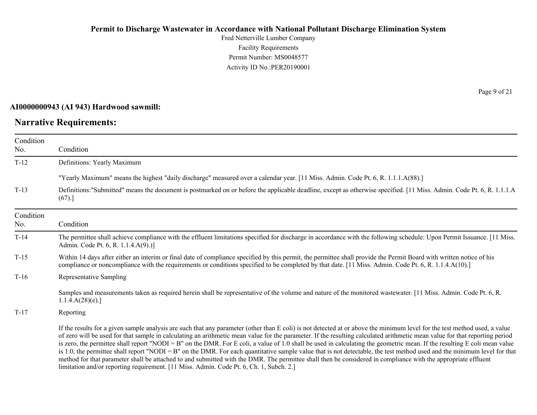Fred Netterville Lumber Company Facility Requirements Permit Number: MS0048577 Activity ID No.:PER20190001

#### **AI0000000943 (AI 943) Hardwood sawmill:**

# **Narrative Requirements:**

Page 9 of 21

| Condition<br>No. | Condition                                                                                                                                                                                                                                                                                                                                                                                                                                                                                                                                                                                                                                                                                                                                                                                                                                                                                                                                                                      |
|------------------|--------------------------------------------------------------------------------------------------------------------------------------------------------------------------------------------------------------------------------------------------------------------------------------------------------------------------------------------------------------------------------------------------------------------------------------------------------------------------------------------------------------------------------------------------------------------------------------------------------------------------------------------------------------------------------------------------------------------------------------------------------------------------------------------------------------------------------------------------------------------------------------------------------------------------------------------------------------------------------|
| $T-12$           | Definitions: Yearly Maximum                                                                                                                                                                                                                                                                                                                                                                                                                                                                                                                                                                                                                                                                                                                                                                                                                                                                                                                                                    |
|                  | "Yearly Maximum" means the highest "daily discharge" measured over a calendar year. [11 Miss. Admin. Code Pt. 6, R. 1.1.1.A(88).]                                                                                                                                                                                                                                                                                                                                                                                                                                                                                                                                                                                                                                                                                                                                                                                                                                              |
| $T-13$           | Definitions:"Submitted" means the document is postmarked on or before the applicable deadline, except as otherwise specified. [11 Miss. Admin. Code Pt. 6, R. 1.1.1.A<br>(67).]                                                                                                                                                                                                                                                                                                                                                                                                                                                                                                                                                                                                                                                                                                                                                                                                |
| Condition<br>No. | Condition                                                                                                                                                                                                                                                                                                                                                                                                                                                                                                                                                                                                                                                                                                                                                                                                                                                                                                                                                                      |
| $T-14$           | The permittee shall achieve compliance with the effluent limitations specified for discharge in accordance with the following schedule: Upon Permit Issuance. [11 Miss.]<br>Admin. Code Pt. 6, R. 1.1.4.A(9).)]                                                                                                                                                                                                                                                                                                                                                                                                                                                                                                                                                                                                                                                                                                                                                                |
| $T-15$           | Within 14 days after either an interim or final date of compliance specified by this permit, the permittee shall provide the Permit Board with written notice of his<br>compliance or noncompliance with the requirements or conditions specified to be completed by that date. [11 Miss. Admin. Code Pt. 6, R. 1.1.4.A(10).]                                                                                                                                                                                                                                                                                                                                                                                                                                                                                                                                                                                                                                                  |
| $T-16$           | Representative Sampling                                                                                                                                                                                                                                                                                                                                                                                                                                                                                                                                                                                                                                                                                                                                                                                                                                                                                                                                                        |
|                  | Samples and measurements taken as required herein shall be representative of the volume and nature of the monitored wastewater. [11 Miss. Admin. Code Pt. 6, R.<br>1.1.4.A(28)(e).                                                                                                                                                                                                                                                                                                                                                                                                                                                                                                                                                                                                                                                                                                                                                                                             |
| $T-17$           | Reporting                                                                                                                                                                                                                                                                                                                                                                                                                                                                                                                                                                                                                                                                                                                                                                                                                                                                                                                                                                      |
|                  | If the results for a given sample analysis are such that any parameter (other than E coli) is not detected at or above the minimum level for the test method used, a value<br>of zero will be used for that sample in calculating an arithmetic mean value for the parameter. If the resulting calculated arithmetic mean value for that reporting period<br>is zero, the permittee shall report "NODI = B" on the DMR. For E coli, a value of 1.0 shall be used in calculating the geometric mean. If the resulting E coli mean value<br>is 1.0, the permittee shall report "NODI = B" on the DMR. For each quantitative sample value that is not detectable, the test method used and the minimum level for that<br>method for that parameter shall be attached to and submitted with the DMR. The permittee shall then be considered in compliance with the appropriate effluent<br>limitation and/or reporting requirement. [11 Miss. Admin. Code Pt. 6, Ch. 1, Subch. 2.] |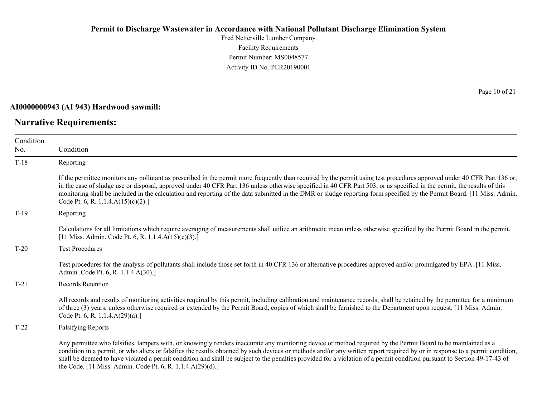Fred Netterville Lumber Company Facility Requirements Permit Number: MS0048577 Activity ID No.:PER20190001

#### **AI0000000943 (AI 943) Hardwood sawmill:**

# **Narrative Requirements:**

Page 10 of 21

| Condition |                                                                                                                                                                                                                                                                                                                                                                                                                                                                                                                                                                                          |
|-----------|------------------------------------------------------------------------------------------------------------------------------------------------------------------------------------------------------------------------------------------------------------------------------------------------------------------------------------------------------------------------------------------------------------------------------------------------------------------------------------------------------------------------------------------------------------------------------------------|
| No.       | Condition                                                                                                                                                                                                                                                                                                                                                                                                                                                                                                                                                                                |
| $T-18$    | Reporting                                                                                                                                                                                                                                                                                                                                                                                                                                                                                                                                                                                |
|           | If the permittee monitors any pollutant as prescribed in the permit more frequently than required by the permit using test procedures approved under 40 CFR Part 136 or,<br>in the case of sludge use or disposal, approved under 40 CFR Part 136 unless otherwise specified in 40 CFR Part 503, or as specified in the permit, the results of this<br>monitoring shall be included in the calculation and reporting of the data submitted in the DMR or sludge reporting form specified by the Permit Board. [11 Miss. Admin.<br>Code Pt. 6, R. 1.1.4. $A(15)(c)(2)$ .]                 |
| $T-19$    | Reporting                                                                                                                                                                                                                                                                                                                                                                                                                                                                                                                                                                                |
|           | Calculations for all limitations which require averaging of measurements shall utilize an arithmetic mean unless otherwise specified by the Permit Board in the permit.<br>[11 Miss. Admin. Code Pt. 6, R. 1.1.4. $A(15)(c)(3)$ .]                                                                                                                                                                                                                                                                                                                                                       |
| $T-20$    | <b>Test Procedures</b>                                                                                                                                                                                                                                                                                                                                                                                                                                                                                                                                                                   |
|           | Test procedures for the analysis of pollutants shall include those set forth in 40 CFR 136 or alternative procedures approved and/or promulgated by EPA. [11 Miss.]<br>Admin. Code Pt. 6, R. 1.1.4.A(30).]                                                                                                                                                                                                                                                                                                                                                                               |
| $T-21$    | <b>Records Retention</b>                                                                                                                                                                                                                                                                                                                                                                                                                                                                                                                                                                 |
|           | All records and results of monitoring activities required by this permit, including calibration and maintenance records, shall be retained by the permittee for a minimum<br>of three (3) years, unless otherwise required or extended by the Permit Board, copies of which shall be furnished to the Department upon request. [11 Miss. Admin.<br>Code Pt. 6, R. 1.1.4.A(29)(a).]                                                                                                                                                                                                       |
| $T-22$    | <b>Falsifying Reports</b>                                                                                                                                                                                                                                                                                                                                                                                                                                                                                                                                                                |
|           | Any permittee who falsifies, tampers with, or knowingly renders inaccurate any monitoring device or method required by the Permit Board to be maintained as a<br>condition in a permit, or who alters or falsifies the results obtained by such devices or methods and/or any written report required by or in response to a permit condition,<br>shall be deemed to have violated a permit condition and shall be subject to the penalties provided for a violation of a permit condition pursuant to Section 49-17-43 of<br>the Code. [11 Miss. Admin. Code Pt. 6, R. 1.1.4.A(29)(d).] |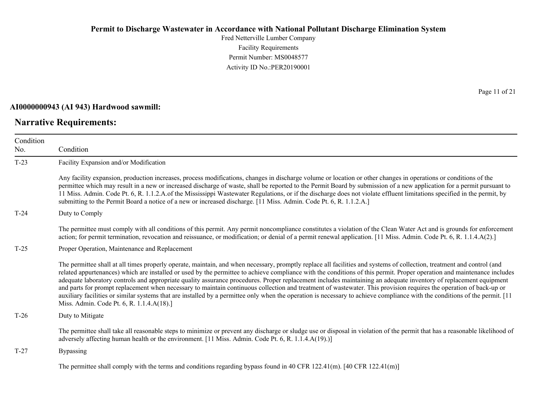Fred Netterville Lumber Company Facility Requirements Permit Number: MS0048577 Activity ID No.:PER20190001

#### **AI0000000943 (AI 943) Hardwood sawmill:**

# **Narrative Requirements:**

Page 11 of 21

| Condition<br>No. | Condition                                                                                                                                                                                                                                                                                                                                                                                                                                                                                                                                                                                                                                                                                                                                                                                                                                                                                                                |
|------------------|--------------------------------------------------------------------------------------------------------------------------------------------------------------------------------------------------------------------------------------------------------------------------------------------------------------------------------------------------------------------------------------------------------------------------------------------------------------------------------------------------------------------------------------------------------------------------------------------------------------------------------------------------------------------------------------------------------------------------------------------------------------------------------------------------------------------------------------------------------------------------------------------------------------------------|
| $T-23$           | Facility Expansion and/or Modification                                                                                                                                                                                                                                                                                                                                                                                                                                                                                                                                                                                                                                                                                                                                                                                                                                                                                   |
|                  | Any facility expansion, production increases, process modifications, changes in discharge volume or location or other changes in operations or conditions of the<br>permittee which may result in a new or increased discharge of waste, shall be reported to the Permit Board by submission of a new application for a permit pursuant to<br>11 Miss. Admin. Code Pt. 6, R. 1.1.2.A.of the Mississippi Wastewater Regulations, or if the discharge does not violate effluent limitations specified in the permit, by<br>submitting to the Permit Board a notice of a new or increased discharge. [11 Miss. Admin. Code Pt. 6, R. 1.1.2.A.]                                                                                                                                                                                                                                                                              |
| $T-24$           | Duty to Comply                                                                                                                                                                                                                                                                                                                                                                                                                                                                                                                                                                                                                                                                                                                                                                                                                                                                                                           |
|                  | The permittee must comply with all conditions of this permit. Any permit noncompliance constitutes a violation of the Clean Water Act and is grounds for enforcement<br>action; for permit termination, revocation and reissuance, or modification; or denial of a permit renewal application. [11 Miss. Admin. Code Pt. 6, R. 1.1.4.A(2).]                                                                                                                                                                                                                                                                                                                                                                                                                                                                                                                                                                              |
| $T-25$           | Proper Operation, Maintenance and Replacement                                                                                                                                                                                                                                                                                                                                                                                                                                                                                                                                                                                                                                                                                                                                                                                                                                                                            |
|                  | The permittee shall at all times properly operate, maintain, and when necessary, promptly replace all facilities and systems of collection, treatment and control (and<br>related appurtenances) which are installed or used by the permittee to achieve compliance with the conditions of this permit. Proper operation and maintenance includes<br>adequate laboratory controls and appropriate quality assurance procedures. Proper replacement includes maintaining an adequate inventory of replacement equipment<br>and parts for prompt replacement when necessary to maintain continuous collection and treatment of wastewater. This provision requires the operation of back-up or<br>auxiliary facilities or similar systems that are installed by a permittee only when the operation is necessary to achieve compliance with the conditions of the permit. [11<br>Miss. Admin. Code Pt. 6, R. 1.1.4.A(18).] |
| $T-26$           | Duty to Mitigate                                                                                                                                                                                                                                                                                                                                                                                                                                                                                                                                                                                                                                                                                                                                                                                                                                                                                                         |
|                  | The permittee shall take all reasonable steps to minimize or prevent any discharge or sludge use or disposal in violation of the permit that has a reasonable likelihood of<br>adversely affecting human health or the environment. [11 Miss. Admin. Code Pt. 6, R. 1.1.4.A(19).)]                                                                                                                                                                                                                                                                                                                                                                                                                                                                                                                                                                                                                                       |
| $T-27$           | <b>Bypassing</b>                                                                                                                                                                                                                                                                                                                                                                                                                                                                                                                                                                                                                                                                                                                                                                                                                                                                                                         |
|                  | The permittee shall comply with the terms and conditions regarding bypass found in 40 CFR 122.41(m). [40 CFR 122.41(m)]                                                                                                                                                                                                                                                                                                                                                                                                                                                                                                                                                                                                                                                                                                                                                                                                  |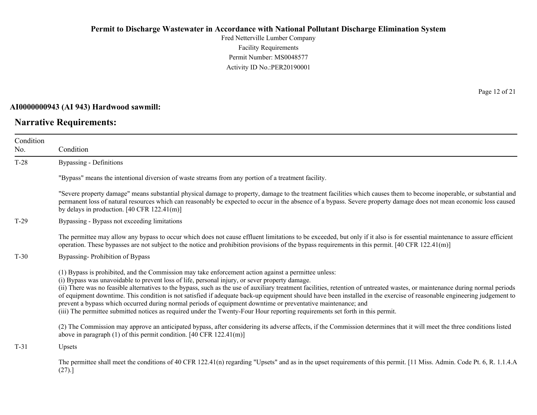Fred Netterville Lumber Company Facility Requirements Permit Number: MS0048577 Activity ID No.:PER20190001

#### **AI0000000943 (AI 943) Hardwood sawmill:**

# **Narrative Requirements:**

Page 12 of 21

| Condition |                                                                                                                                                                                                                                                                                                                                                                                                                                                                                                                                                                                                                                                                                                                                                                                                                    |  |  |
|-----------|--------------------------------------------------------------------------------------------------------------------------------------------------------------------------------------------------------------------------------------------------------------------------------------------------------------------------------------------------------------------------------------------------------------------------------------------------------------------------------------------------------------------------------------------------------------------------------------------------------------------------------------------------------------------------------------------------------------------------------------------------------------------------------------------------------------------|--|--|
| No.       | Condition                                                                                                                                                                                                                                                                                                                                                                                                                                                                                                                                                                                                                                                                                                                                                                                                          |  |  |
| $T-28$    | Bypassing - Definitions                                                                                                                                                                                                                                                                                                                                                                                                                                                                                                                                                                                                                                                                                                                                                                                            |  |  |
|           | "Bypass" means the intentional diversion of waste streams from any portion of a treatment facility.                                                                                                                                                                                                                                                                                                                                                                                                                                                                                                                                                                                                                                                                                                                |  |  |
|           | "Severe property damage" means substantial physical damage to property, damage to the treatment facilities which causes them to become inoperable, or substantial and<br>permanent loss of natural resources which can reasonably be expected to occur in the absence of a bypass. Severe property damage does not mean economic loss caused<br>by delays in production. $[40 \text{ CFR } 122.41 \text{ (m)}]$                                                                                                                                                                                                                                                                                                                                                                                                    |  |  |
| $T-29$    | Bypassing - Bypass not exceeding limitations                                                                                                                                                                                                                                                                                                                                                                                                                                                                                                                                                                                                                                                                                                                                                                       |  |  |
|           | The permittee may allow any bypass to occur which does not cause effluent limitations to be exceeded, but only if it also is for essential maintenance to assure efficient<br>operation. These bypasses are not subject to the notice and prohibition provisions of the bypass requirements in this permit. [40 CFR 122.41(m)]                                                                                                                                                                                                                                                                                                                                                                                                                                                                                     |  |  |
| $T-30$    | Bypassing-Prohibition of Bypass                                                                                                                                                                                                                                                                                                                                                                                                                                                                                                                                                                                                                                                                                                                                                                                    |  |  |
|           | (1) Bypass is prohibited, and the Commission may take enforcement action against a permittee unless:<br>(i) Bypass was unavoidable to prevent loss of life, personal injury, or sever property damage.<br>(ii) There was no feasible alternatives to the bypass, such as the use of auxiliary treatment facilities, retention of untreated wastes, or maintenance during normal periods<br>of equipment downtime. This condition is not satisfied if adequate back-up equipment should have been installed in the exercise of reasonable engineering judgement to<br>prevent a bypass which occurred during normal periods of equipment downtime or preventative maintenance; and<br>(iii) The permittee submitted notices as required under the Twenty-Four Hour reporting requirements set forth in this permit. |  |  |
|           | (2) The Commission may approve an anticipated bypass, after considering its adverse affects, if the Commission determines that it will meet the three conditions listed<br>above in paragraph $(1)$ of this permit condition. [40 CFR 122.41(m)]                                                                                                                                                                                                                                                                                                                                                                                                                                                                                                                                                                   |  |  |
| $T-31$    | Upsets                                                                                                                                                                                                                                                                                                                                                                                                                                                                                                                                                                                                                                                                                                                                                                                                             |  |  |
|           | The permittee shall meet the conditions of 40 CFR 122.41(n) regarding "Upsets" and as in the upset requirements of this permit. [11 Miss. Admin. Code Pt. 6, R. 1.1.4.A<br>(27).                                                                                                                                                                                                                                                                                                                                                                                                                                                                                                                                                                                                                                   |  |  |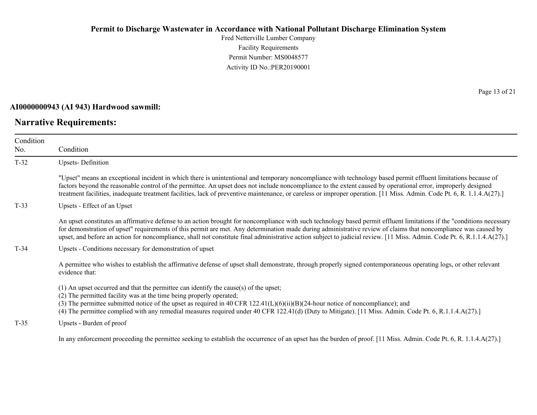Fred Netterville Lumber Company Facility Requirements Permit Number: MS0048577 Activity ID No.:PER20190001

#### **AI0000000943 (AI 943) Hardwood sawmill:**

# **Narrative Requirements:**

Page 13 of 21

| Condition<br>No. | Condition                                                                                                                                                                                                                                                                                                                                                                                                                                                                                                             |  |  |
|------------------|-----------------------------------------------------------------------------------------------------------------------------------------------------------------------------------------------------------------------------------------------------------------------------------------------------------------------------------------------------------------------------------------------------------------------------------------------------------------------------------------------------------------------|--|--|
| $T-32$           | <b>Upsets-Definition</b>                                                                                                                                                                                                                                                                                                                                                                                                                                                                                              |  |  |
|                  | "Upset" means an exceptional incident in which there is unintentional and temporary noncompliance with technology based permit effluent limitations because of<br>factors beyond the reasonable control of the permittee. An upset does not include noncompliance to the extent caused by operational error, improperly designed<br>treatment facilities, inadequate treatment facilities, lack of preventive maintenance, or careless or improper operation. [11 Miss. Admin. Code Pt. 6, R. 1.1.4.A(27).]           |  |  |
| $T-33$           | Upsets - Effect of an Upset                                                                                                                                                                                                                                                                                                                                                                                                                                                                                           |  |  |
|                  | An upset constitutes an affirmative defense to an action brought for noncompliance with such technology based permit effluent limitations if the "conditions necessary<br>for demonstration of upset" requirements of this permit are met. Any determination made during administrative review of claims that noncompliance was caused by<br>upset, and before an action for noncompliance, shall not constitute final administrative action subject to judicial review. [11 Miss. Admin. Code Pt. 6, R.1.1.4.A(27).] |  |  |
| $T-34$           | Upsets - Conditions necessary for demonstration of upset                                                                                                                                                                                                                                                                                                                                                                                                                                                              |  |  |
|                  | A permittee who wishes to establish the affirmative defense of upset shall demonstrate, through properly signed contemporaneous operating logs, or other relevant<br>evidence that:                                                                                                                                                                                                                                                                                                                                   |  |  |
|                  | $(1)$ An upset occurred and that the permittee can identify the cause(s) of the upset;<br>(2) The permitted facility was at the time being properly operated;<br>(3) The permittee submitted notice of the upset as required in 40 CFR $122.41(L)(6)(ii)(B)(24$ -hour notice of noncompliance); and<br>(4) The permittee complied with any remedial measures required under 40 CFR 122.41(d) (Duty to Mitigate). [11 Miss. Admin. Code Pt. 6, R.1.1.4.A(27).]                                                         |  |  |
| $T-35$           | Upsets - Burden of proof                                                                                                                                                                                                                                                                                                                                                                                                                                                                                              |  |  |
|                  | In any enforcement proceeding the permittee seeking to establish the occurrence of an upset has the burden of proof. [11 Miss. Admin. Code Pt. 6, R. 1.1.4.A(27).]                                                                                                                                                                                                                                                                                                                                                    |  |  |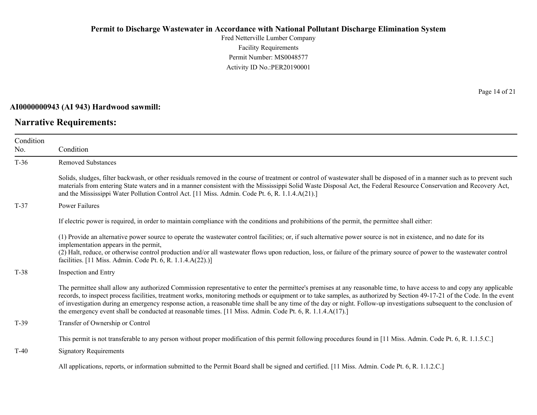Fred Netterville Lumber Company Facility Requirements Permit Number: MS0048577 Activity ID No.:PER20190001

#### **AI0000000943 (AI 943) Hardwood sawmill:**

# **Narrative Requirements:**

Page 14 of 21

| Condition<br>No. | Condition                                                                                                                                                                                                                                                                                                                                                                                                                                                                                                                                                                                                                                  |
|------------------|--------------------------------------------------------------------------------------------------------------------------------------------------------------------------------------------------------------------------------------------------------------------------------------------------------------------------------------------------------------------------------------------------------------------------------------------------------------------------------------------------------------------------------------------------------------------------------------------------------------------------------------------|
| $T-36$           | <b>Removed Substances</b>                                                                                                                                                                                                                                                                                                                                                                                                                                                                                                                                                                                                                  |
|                  | Solids, sludges, filter backwash, or other residuals removed in the course of treatment or control of wastewater shall be disposed of in a manner such as to prevent such<br>materials from entering State waters and in a manner consistent with the Mississippi Solid Waste Disposal Act, the Federal Resource Conservation and Recovery Act,<br>and the Mississippi Water Pollution Control Act. [11 Miss. Admin. Code Pt. 6, R. 1.1.4.A(21).]                                                                                                                                                                                          |
| $T-37$           | <b>Power Failures</b>                                                                                                                                                                                                                                                                                                                                                                                                                                                                                                                                                                                                                      |
|                  | If electric power is required, in order to maintain compliance with the conditions and prohibitions of the permit, the permittee shall either:                                                                                                                                                                                                                                                                                                                                                                                                                                                                                             |
|                  | (1) Provide an alternative power source to operate the wastewater control facilities; or, if such alternative power source is not in existence, and no date for its<br>implementation appears in the permit,<br>(2) Halt, reduce, or otherwise control production and/or all wastewater flows upon reduction, loss, or failure of the primary source of power to the wastewater control<br>facilities. [11 Miss. Admin. Code Pt. 6, R. 1.1.4.A(22).)]                                                                                                                                                                                      |
| $T-38$           | Inspection and Entry                                                                                                                                                                                                                                                                                                                                                                                                                                                                                                                                                                                                                       |
|                  | The permittee shall allow any authorized Commission representative to enter the permittee's premises at any reasonable time, to have access to and copy any applicable<br>records, to inspect process facilities, treatment works, monitoring methods or equipment or to take samples, as authorized by Section 49-17-21 of the Code. In the event<br>of investigation during an emergency response action, a reasonable time shall be any time of the day or night. Follow-up investigations subsequent to the conclusion of<br>the emergency event shall be conducted at reasonable times. [11 Miss. Admin. Code Pt. 6, R. 1.1.4.A(17).] |
| $T-39$           | Transfer of Ownership or Control                                                                                                                                                                                                                                                                                                                                                                                                                                                                                                                                                                                                           |
|                  | This permit is not transferable to any person without proper modification of this permit following procedures found in [11 Miss. Admin. Code Pt. 6, R. 1.1.5.C.]                                                                                                                                                                                                                                                                                                                                                                                                                                                                           |
| $T-40$           | <b>Signatory Requirements</b>                                                                                                                                                                                                                                                                                                                                                                                                                                                                                                                                                                                                              |
|                  | All applications, reports, or information submitted to the Permit Board shall be signed and certified. [11 Miss. Admin. Code Pt. 6, R. 1.1.2.C.]                                                                                                                                                                                                                                                                                                                                                                                                                                                                                           |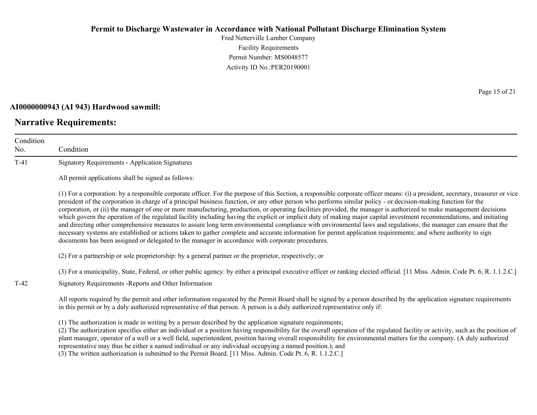Fred Netterville Lumber Company Facility Requirements Permit Number: MS0048577 Activity ID No.:PER20190001

#### **AI0000000943 (AI 943) Hardwood sawmill:**

#### **Narrative Requirements:**

No.

Condition Condition T-41 Signatory Requirements - Application Signatures All permit applications shall be signed as follows: (1) For a corporation: by a responsible corporate officer. For the purpose of this Section, a responsible corporate officer means: (i) a president, secretary, treasurer or vice president of the corporation in charge of a principal business function, or any other person who performs similar policy - or decision-making function for the corporation, or (ii) the manager of one or more manufacturing, production, or operating facilities provided, the manager is authorized to make management decisions which govern the operation of the regulated facility including having the explicit or implicit duty of making major capital investment recommendations, and initiating and directing other comprehensive measures to assure long term environmental compliance with environmental laws and regulations; the manager can ensure that the necessary systems are established or actions taken to gather complete and accurate information for permit application requirements; and where authority to sign documents has been assigned or delegated to the manager in accordance with corporate procedures. (2) For a partnership or sole proprietorship: by a general partner or the proprietor, respectively; or (3) For a municipality, State, Federal, or other public agency: by either a principal executive officer or ranking elected official. [11 Miss. Admin. Code Pt. 6, R. 1.1.2.C.] T-42 Signatory Requirements -Reports and Other Information All reports required by the permit and other information requested by the Permit Board shall be signed by a person described by the application signature requirements in this permit or by a duly authorized representative of that person. A person is a duly authorized representative only if: (1) The authorization is made in writing by a person described by the application signature requirements;

(2) The authorization specifies either an individual or a position having responsibility for the overall operation of the regulated facility or activity, such as the position of plant manager, operator of a well or a well field, superintendent, position having overall responsibility for environmental matters for the company. (A duly authorized representative may thus be either a named individual or any individual occupying a named position.); and

(3) The written authorization is submitted to the Permit Board. [11 Miss. Admin. Code Pt. 6, R. 1.1.2.C.]

Page 15 of 21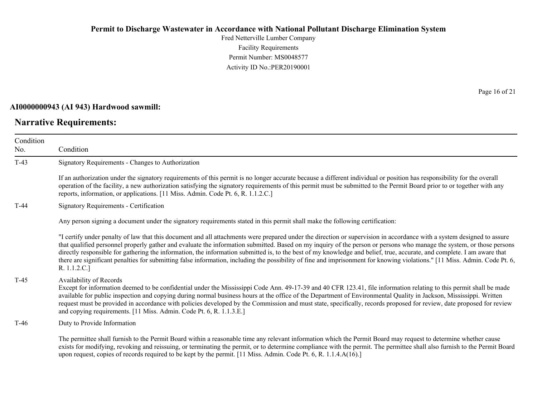Fred Netterville Lumber Company Facility Requirements Permit Number: MS0048577 Activity ID No.:PER20190001

#### **AI0000000943 (AI 943) Hardwood sawmill:**

# **Narrative Requirements:**

Page 16 of 21

| Condition<br>No. | Condition                                                                                                                                                                                                                                                                                                                                                                                                                                                                                                                                                                                                                                                                                                                |  |
|------------------|--------------------------------------------------------------------------------------------------------------------------------------------------------------------------------------------------------------------------------------------------------------------------------------------------------------------------------------------------------------------------------------------------------------------------------------------------------------------------------------------------------------------------------------------------------------------------------------------------------------------------------------------------------------------------------------------------------------------------|--|
| $T-43$           | Signatory Requirements - Changes to Authorization                                                                                                                                                                                                                                                                                                                                                                                                                                                                                                                                                                                                                                                                        |  |
|                  | If an authorization under the signatory requirements of this permit is no longer accurate because a different individual or position has responsibility for the overall<br>operation of the facility, a new authorization satisfying the signatory requirements of this permit must be submitted to the Permit Board prior to or together with any<br>reports, information, or applications. [11 Miss. Admin. Code Pt. 6, R. 1.1.2.C.]                                                                                                                                                                                                                                                                                   |  |
| $T-44$           | <b>Signatory Requirements - Certification</b>                                                                                                                                                                                                                                                                                                                                                                                                                                                                                                                                                                                                                                                                            |  |
|                  | Any person signing a document under the signatory requirements stated in this permit shall make the following certification:                                                                                                                                                                                                                                                                                                                                                                                                                                                                                                                                                                                             |  |
|                  | "I certify under penalty of law that this document and all attachments were prepared under the direction or supervision in accordance with a system designed to assure<br>that qualified personnel properly gather and evaluate the information submitted. Based on my inquiry of the person or persons who manage the system, or those persons<br>directly responsible for gathering the information, the information submitted is, to the best of my knowledge and belief, true, accurate, and complete. I am aware that<br>there are significant penalties for submitting false information, including the possibility of fine and imprisonment for knowing violations." [11 Miss. Admin. Code Pt. 6,<br>R. 1.1.2.C.] |  |
| $T-45$           | Availability of Records<br>Except for information deemed to be confidential under the Mississippi Code Ann. 49-17-39 and 40 CFR 123.41, file information relating to this permit shall be made<br>available for public inspection and copying during normal business hours at the office of the Department of Environmental Quality in Jackson, Mississippi. Written<br>request must be provided in accordance with policies developed by the Commission and must state, specifically, records proposed for review, date proposed for review<br>and copying requirements. [11 Miss. Admin. Code Pt. 6, R. 1.1.3.E.]                                                                                                      |  |
| T-46             | Duty to Provide Information                                                                                                                                                                                                                                                                                                                                                                                                                                                                                                                                                                                                                                                                                              |  |
|                  | The permittee shall furnish to the Permit Board within a reasonable time any relevant information which the Permit Board may request to determine whether cause<br>exists for modifying, revoking and reissuing, or terminating the permit, or to determine compliance with the permit. The permittee shall also furnish to the Permit Board<br>upon request, copies of records required to be kept by the permit. [11 Miss. Admin. Code Pt. 6, R. 1.1.4.A(16).]                                                                                                                                                                                                                                                         |  |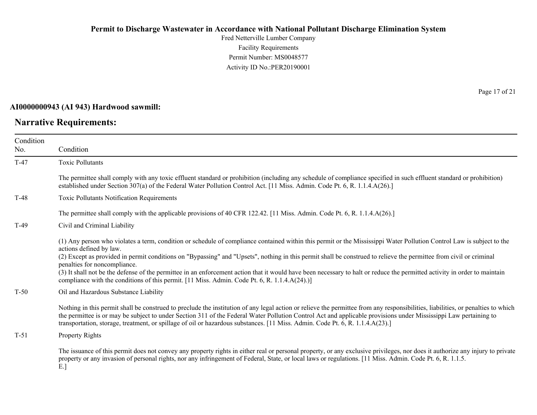Fred Netterville Lumber Company Facility Requirements Permit Number: MS0048577 Activity ID No.:PER20190001

#### **AI0000000943 (AI 943) Hardwood sawmill:**

# **Narrative Requirements:**

Page 17 of 21

| Condition<br>No. | Condition                                                                                                                                                                                                                                                                                                                                                                                                                                                                                                                                                                                                                                                                            |
|------------------|--------------------------------------------------------------------------------------------------------------------------------------------------------------------------------------------------------------------------------------------------------------------------------------------------------------------------------------------------------------------------------------------------------------------------------------------------------------------------------------------------------------------------------------------------------------------------------------------------------------------------------------------------------------------------------------|
| $T-47$           | <b>Toxic Pollutants</b>                                                                                                                                                                                                                                                                                                                                                                                                                                                                                                                                                                                                                                                              |
|                  | The permittee shall comply with any toxic effluent standard or prohibition (including any schedule of compliance specified in such effluent standard or prohibition)<br>established under Section 307(a) of the Federal Water Pollution Control Act. [11 Miss. Admin. Code Pt. 6, R. 1.1.4.A(26).]                                                                                                                                                                                                                                                                                                                                                                                   |
| $T-48$           | Toxic Pollutants Notification Requirements                                                                                                                                                                                                                                                                                                                                                                                                                                                                                                                                                                                                                                           |
|                  | The permittee shall comply with the applicable provisions of 40 CFR 122.42. [11 Miss. Admin. Code Pt. 6, R. 1.1.4.A(26).]                                                                                                                                                                                                                                                                                                                                                                                                                                                                                                                                                            |
| $T-49$           | Civil and Criminal Liability                                                                                                                                                                                                                                                                                                                                                                                                                                                                                                                                                                                                                                                         |
|                  | (1) Any person who violates a term, condition or schedule of compliance contained within this permit or the Mississippi Water Pollution Control Law is subject to the<br>actions defined by law.<br>(2) Except as provided in permit conditions on "Bypassing" and "Upsets", nothing in this permit shall be construed to relieve the permittee from civil or criminal<br>penalties for noncompliance.<br>(3) It shall not be the defense of the permittee in an enforcement action that it would have been necessary to halt or reduce the permitted activity in order to maintain<br>compliance with the conditions of this permit. [11 Miss. Admin. Code Pt. 6, R. 1.1.4.A(24).)] |
| $T-50$           | Oil and Hazardous Substance Liability                                                                                                                                                                                                                                                                                                                                                                                                                                                                                                                                                                                                                                                |
|                  | Nothing in this permit shall be construed to preclude the institution of any legal action or relieve the permittee from any responsibilities, liabilities, or penalties to which<br>the permittee is or may be subject to under Section 311 of the Federal Water Pollution Control Act and applicable provisions under Mississippi Law pertaining to<br>transportation, storage, treatment, or spillage of oil or hazardous substances. [11 Miss. Admin. Code Pt. 6, R. 1.1.4.A(23).]                                                                                                                                                                                                |
| $T-51$           | Property Rights                                                                                                                                                                                                                                                                                                                                                                                                                                                                                                                                                                                                                                                                      |
|                  | The issuance of this permit does not convey any property rights in either real or personal property, or any exclusive privileges, nor does it authorize any injury to private<br>property or any invasion of personal rights, nor any infringement of Federal, State, or local laws or regulations. [11 Miss. Admin. Code Pt. 6, R. 1.1.5.                                                                                                                                                                                                                                                                                                                                           |

E.]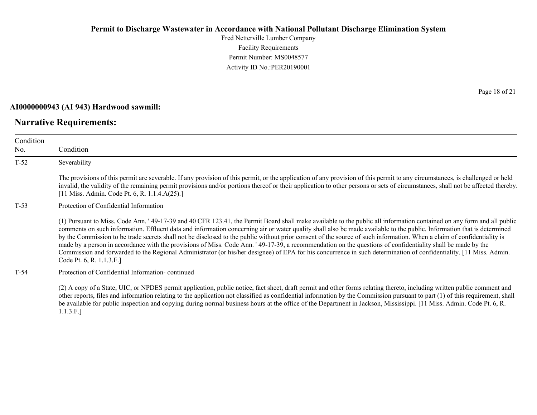Fred Netterville Lumber Company Facility Requirements Permit Number: MS0048577 Activity ID No.:PER20190001

#### **AI0000000943 (AI 943) Hardwood sawmill:**

#### **Narrative Requirements:**

Condition No. Condition T-52 Severability The provisions of this permit are severable. If any provision of this permit, or the application of any provision of this permit to any circumstances, is challenged or held invalid, the validity of the remaining permit provisions and/or portions thereof or their application to other persons or sets of circumstances, shall not be affected thereby. [11 Miss. Admin. Code Pt. 6, R. 1.1.4.A(25).] T-53 Protection of Confidential Information (1) Pursuant to Miss. Code Ann. ' 49-17-39 and 40 CFR 123.41, the Permit Board shall make available to the public all information contained on any form and all public comments on such information. Effluent data and information concerning air or water quality shall also be made available to the public. Information that is determined by the Commission to be trade secrets shall not be disclosed to the public without prior consent of the source of such information. When a claim of confidentiality is made by a person in accordance with the provisions of Miss. Code Ann. ' 49-17-39, a recommendation on the questions of confidentiality shall be made by the Commission and forwarded to the Regional Administrator (or his/her designee) of EPA for his concurrence in such determination of confidentiality. [11 Miss. Admin. Code Pt. 6, R. 1.1.3.F.] T-54 Protection of Confidential Information- continued

(2) A copy of a State, UIC, or NPDES permit application, public notice, fact sheet, draft permit and other forms relating thereto, including written public comment and other reports, files and information relating to the application not classified as confidential information by the Commission pursuant to part (1) of this requirement, shall be available for public inspection and copying during normal business hours at the office of the Department in Jackson, Mississippi. [11 Miss. Admin. Code Pt. 6, R. 1.1.3.F.]

Page 18 of 21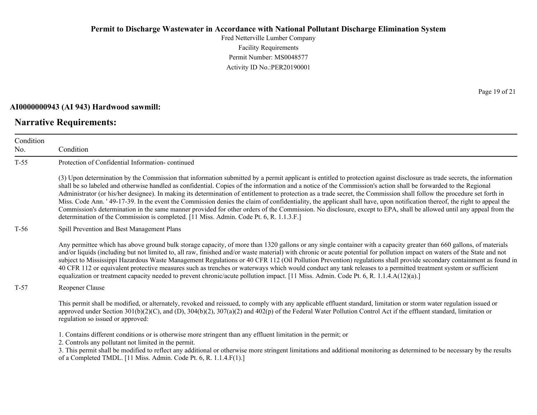Fred Netterville Lumber Company Facility Requirements Permit Number: MS0048577 Activity ID No.:PER20190001

#### **AI0000000943 (AI 943) Hardwood sawmill:**

# **Narrative Requirements:**

Page 19 of 21

| Condition<br>No. | Condition                                                                                                                                                                                                                                                                                                                                                                                                                                                                                                                                                                                                                                                                                                                                                                                                                                                                                                                                                            |
|------------------|----------------------------------------------------------------------------------------------------------------------------------------------------------------------------------------------------------------------------------------------------------------------------------------------------------------------------------------------------------------------------------------------------------------------------------------------------------------------------------------------------------------------------------------------------------------------------------------------------------------------------------------------------------------------------------------------------------------------------------------------------------------------------------------------------------------------------------------------------------------------------------------------------------------------------------------------------------------------|
| $T-55$           | Protection of Confidential Information-continued                                                                                                                                                                                                                                                                                                                                                                                                                                                                                                                                                                                                                                                                                                                                                                                                                                                                                                                     |
|                  | (3) Upon determination by the Commission that information submitted by a permit applicant is entitled to protection against disclosure as trade secrets, the information<br>shall be so labeled and otherwise handled as confidential. Copies of the information and a notice of the Commission's action shall be forwarded to the Regional<br>Administrator (or his/her designee). In making its determination of entitlement to protection as a trade secret, the Commission shall follow the procedure set forth in<br>Miss. Code Ann. '49-17-39. In the event the Commission denies the claim of confidentiality, the applicant shall have, upon notification thereof, the right to appeal the<br>Commission's determination in the same manner provided for other orders of the Commission. No disclosure, except to EPA, shall be allowed until any appeal from the<br>determination of the Commission is completed. [11 Miss. Admin. Code Pt. 6, R. 1.1.3.F.] |
| $T-56$           | Spill Prevention and Best Management Plans                                                                                                                                                                                                                                                                                                                                                                                                                                                                                                                                                                                                                                                                                                                                                                                                                                                                                                                           |
|                  | Any permittee which has above ground bulk storage capacity, of more than 1320 gallons or any single container with a capacity greater than 660 gallons, of materials<br>and/or liquids (including but not limited to, all raw, finished and/or waste material) with chronic or acute potential for pollution impact on waters of the State and not<br>subject to Mississippi Hazardous Waste Management Regulations or 40 CFR 112 (Oil Pollution Prevention) regulations shall provide secondary containment as found in<br>40 CFR 112 or equivalent protective measures such as trenches or waterways which would conduct any tank releases to a permitted treatment system or sufficient<br>equalization or treatment capacity needed to prevent chronic/acute pollution impact. [11 Miss. Admin. Code Pt. 6, R. 1.1.4.A(12)(a).]                                                                                                                                  |
| $T-57$           | Reopener Clause                                                                                                                                                                                                                                                                                                                                                                                                                                                                                                                                                                                                                                                                                                                                                                                                                                                                                                                                                      |
|                  | This permit shall be modified, or alternately, revoked and reissued, to comply with any applicable effluent standard, limitation or storm water regulation issued or<br>approved under Section 301(b)(2)(C), and (D), 304(b)(2), 307(a)(2) and 402(p) of the Federal Water Pollution Control Act if the effluent standard, limitation or<br>regulation so issued or approved:                                                                                                                                                                                                                                                                                                                                                                                                                                                                                                                                                                                        |
|                  | 1. Contains different conditions or is otherwise more stringent than any effluent limitation in the permit; or<br>2. Controls any pollutant not limited in the permit.<br>3. This permit shall be modified to reflect any additional or otherwise more stringent limitations and additional monitoring as determined to be necessary by the results<br>of a Completed TMDL. [11 Miss. Admin. Code Pt. 6, R. 1.1.4.F(1).]                                                                                                                                                                                                                                                                                                                                                                                                                                                                                                                                             |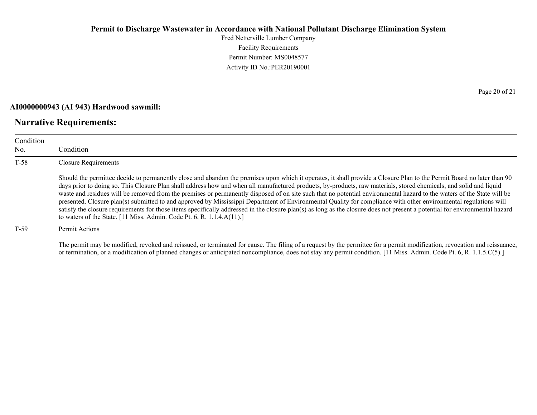Fred Netterville Lumber Company Facility Requirements Permit Number: MS0048577 Activity ID No.:PER20190001

#### **AI0000000943 (AI 943) Hardwood sawmill:**

# **Narrative Requirements:**

Condition No. Condition T-58 Closure Requirements Should the permittee decide to permanently close and abandon the premises upon which it operates, it shall provide a Closure Plan to the Permit Board no later than 90 days prior to doing so. This Closure Plan shall address how and when all manufactured products, by-products, raw materials, stored chemicals, and solid and liquid waste and residues will be removed from the premises or permanently disposed of on site such that no potential environmental hazard to the waters of the State will be presented. Closure plan(s) submitted to and approved by Mississippi Department of Environmental Quality for compliance with other environmental regulations will satisfy the closure requirements for those items specifically addressed in the closure plan(s) as long as the closure does not present a potential for environmental hazard to waters of the State. [11 Miss. Admin. Code Pt. 6, R. 1.1.4.A(11).]

#### T-59 Permit Actions

The permit may be modified, revoked and reissued, or terminated for cause. The filing of a request by the permittee for a permit modification, revocation and reissuance, or termination, or a modification of planned changes or anticipated noncompliance, does not stay any permit condition. [11 Miss. Admin. Code Pt. 6, R. 1.1.5.C(5).]

Page 20 of 21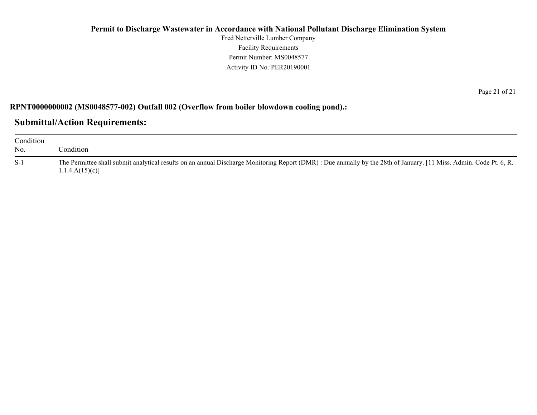Fred Netterville Lumber Company Facility Requirements Permit Number: MS0048577 Activity ID No.:PER20190001

**RPNT0000000002 (MS0048577-002) Outfall 002 (Overflow from boiler blowdown cooling pond).:**

**Submittal/Action Requirements:**

| Condition<br>No. | Condition                                                                                                                                                                            |
|------------------|--------------------------------------------------------------------------------------------------------------------------------------------------------------------------------------|
| $S-1$            | The Permittee shall submit analytical results on an annual Discharge Monitoring Report (DMR): Due annually by the 28th of January. [11 Miss. Admin. Code Pt. 6, R.<br>1.1.4.A(15)(c) |

Page 21 of 21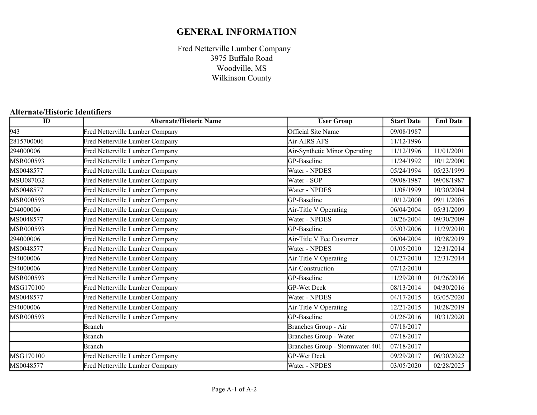# **GENERAL INFORMATION**

Fred Netterville Lumber Company Woodville, MS Wilkinson County 3975 Buffalo Road

# **Alternate/Historic Identifiers**

| $\overline{ID}$ | <b>Alternate/Historic Name</b>  | <b>User Group</b>               | <b>Start Date</b> | <b>End Date</b> |
|-----------------|---------------------------------|---------------------------------|-------------------|-----------------|
| 943             | Fred Netterville Lumber Company | Official Site Name              | 09/08/1987        |                 |
| 2815700006      | Fred Netterville Lumber Company | Air-AIRS AFS                    | 11/12/1996        |                 |
| 294000006       | Fred Netterville Lumber Company | Air-Synthetic Minor Operating   | 11/12/1996        | 11/01/2001      |
| MSR000593       | Fred Netterville Lumber Company | GP-Baseline                     | 11/24/1992        | 10/12/2000      |
| MS0048577       | Fred Netterville Lumber Company | Water - NPDES                   | 05/24/1994        | 05/23/1999      |
| MSU087032       | Fred Netterville Lumber Company | Water - SOP                     | 09/08/1987        | 09/08/1987      |
| MS0048577       | Fred Netterville Lumber Company | Water - NPDES                   | 11/08/1999        | 10/30/2004      |
| MSR000593       | Fred Netterville Lumber Company | GP-Baseline                     | 10/12/2000        | 09/11/2005      |
| 294000006       | Fred Netterville Lumber Company | Air-Title V Operating           | 06/04/2004        | 05/31/2009      |
| MS0048577       | Fred Netterville Lumber Company | Water - NPDES                   | 10/26/2004        | 09/30/2009      |
| MSR000593       | Fred Netterville Lumber Company | GP-Baseline                     | 03/03/2006        | 11/29/2010      |
| 294000006       | Fred Netterville Lumber Company | Air-Title V Fee Customer        | 06/04/2004        | 10/28/2019      |
| MS0048577       | Fred Netterville Lumber Company | Water - NPDES                   | 01/05/2010        | 12/31/2014      |
| 294000006       | Fred Netterville Lumber Company | Air-Title V Operating           | 01/27/2010        | 12/31/2014      |
| 294000006       | Fred Netterville Lumber Company | Air-Construction                | 07/12/2010        |                 |
| MSR000593       | Fred Netterville Lumber Company | GP-Baseline                     | 11/29/2010        | 01/26/2016      |
| MSG170100       | Fred Netterville Lumber Company | <b>GP-Wet Deck</b>              | 08/13/2014        | 04/30/2016      |
| MS0048577       | Fred Netterville Lumber Company | Water - NPDES                   | 04/17/2015        | 03/05/2020      |
| 294000006       | Fred Netterville Lumber Company | Air-Title V Operating           | 12/21/2015        | 10/28/2019      |
| MSR000593       | Fred Netterville Lumber Company | GP-Baseline                     | 01/26/2016        | 10/31/2020      |
|                 | <b>Branch</b>                   | Branches Group - Air            | 07/18/2017        |                 |
|                 | <b>Branch</b>                   | Branches Group - Water          | 07/18/2017        |                 |
|                 | <b>Branch</b>                   | Branches Group - Stormwater-401 | 07/18/2017        |                 |
| MSG170100       | Fred Netterville Lumber Company | <b>GP-Wet Deck</b>              | 09/29/2017        | 06/30/2022      |
| MS0048577       | Fred Netterville Lumber Company | Water - NPDES                   | 03/05/2020        | 02/28/2025      |